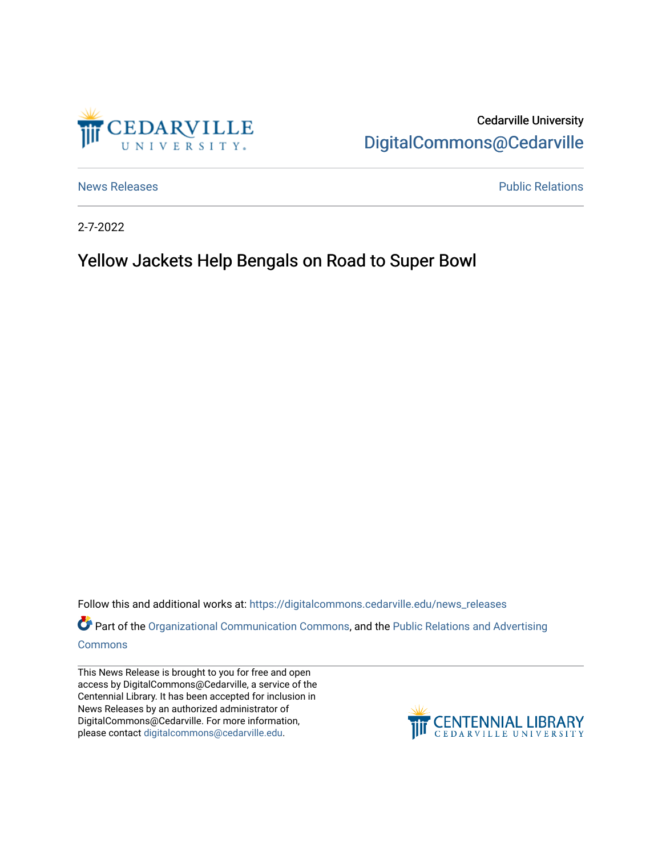

Cedarville University [DigitalCommons@Cedarville](https://digitalcommons.cedarville.edu/) 

[News Releases](https://digitalcommons.cedarville.edu/news_releases) **Public Relations Public Relations** 

2-7-2022

## Yellow Jackets Help Bengals on Road to Super Bowl

Follow this and additional works at: [https://digitalcommons.cedarville.edu/news\\_releases](https://digitalcommons.cedarville.edu/news_releases?utm_source=digitalcommons.cedarville.edu%2Fnews_releases%2F1505&utm_medium=PDF&utm_campaign=PDFCoverPages) 

Part of the [Organizational Communication Commons](http://network.bepress.com/hgg/discipline/335?utm_source=digitalcommons.cedarville.edu%2Fnews_releases%2F1505&utm_medium=PDF&utm_campaign=PDFCoverPages), and the Public Relations and Advertising [Commons](http://network.bepress.com/hgg/discipline/336?utm_source=digitalcommons.cedarville.edu%2Fnews_releases%2F1505&utm_medium=PDF&utm_campaign=PDFCoverPages)

This News Release is brought to you for free and open access by DigitalCommons@Cedarville, a service of the Centennial Library. It has been accepted for inclusion in News Releases by an authorized administrator of DigitalCommons@Cedarville. For more information, please contact [digitalcommons@cedarville.edu](mailto:digitalcommons@cedarville.edu).

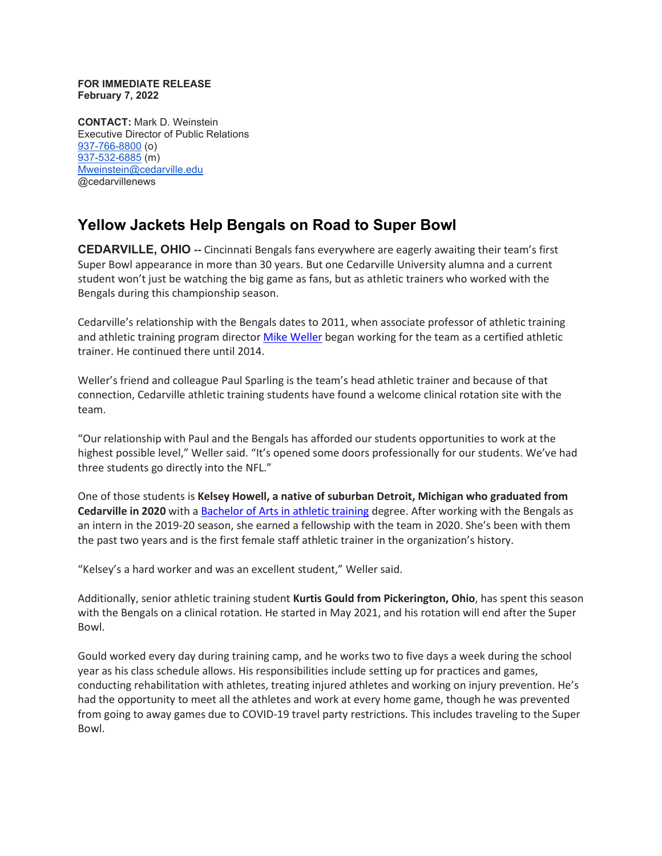## **FOR IMMEDIATE RELEASE February 7, 2022**

**CONTACT:** Mark D. Weinstein Executive Director of Public Relations [937-766-8800](tel:937-766-8800) (o) [937-532-6885](tel:937-532-6885) (m) [Mweinstein@cedarville.edu](mailto:Mweinstein@cedarville.edu) @cedarvillenews

## **Yellow Jackets Help Bengals on Road to Super Bowl**

**CEDARVILLE, OHIO --** Cincinnati Bengals fans everywhere are eagerly awaiting their team's first Super Bowl appearance in more than 30 years. But one Cedarville University alumna and a current student won't just be watching the big game as fans, but as athletic trainers who worked with the Bengals during this championship season.

Cedarville's relationship with the Bengals dates to 2011, when associate professor of athletic training and athletic training program director [Mike Weller](https://www.cedarville.edu/academic-schools-and-departments/allied-health/faculty-staff/weller-michael) began working for the team as a certified athletic trainer. He continued there until 2014.

Weller's friend and colleague Paul Sparling is the team's head athletic trainer and because of that connection, Cedarville athletic training students have found a welcome clinical rotation site with the team.

"Our relationship with Paul and the Bengals has afforded our students opportunities to work at the highest possible level," Weller said. "It's opened some doors professionally for our students. We've had three students go directly into the NFL."

One of those students is **Kelsey Howell, a native of suburban Detroit, Michigan who graduated from Cedarville in 2020** with a [Bachelor of Arts in athletic training](https://www.cedarville.edu/academic-programs/athletic-training) degree. After working with the Bengals as an intern in the 2019-20 season, she earned a fellowship with the team in 2020. She's been with them the past two years and is the first female staff athletic trainer in the organization's history.

"Kelsey's a hard worker and was an excellent student," Weller said.

Additionally, senior athletic training student **Kurtis Gould from Pickerington, Ohio**, has spent this season with the Bengals on a clinical rotation. He started in May 2021, and his rotation will end after the Super Bowl.

Gould worked every day during training camp, and he works two to five days a week during the school year as his class schedule allows. His responsibilities include setting up for practices and games, conducting rehabilitation with athletes, treating injured athletes and working on injury prevention. He's had the opportunity to meet all the athletes and work at every home game, though he was prevented from going to away games due to COVID-19 travel party restrictions. This includes traveling to the Super Bowl.